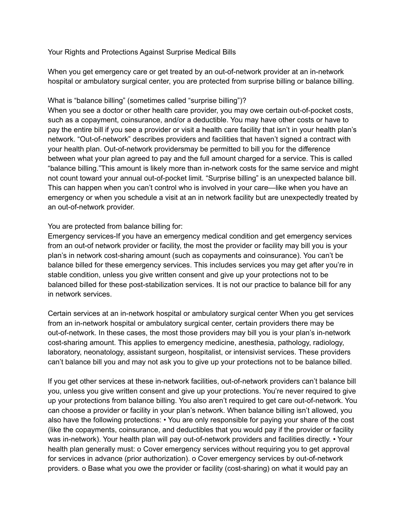Your Rights and Protections Against Surprise Medical Bills

When you get emergency care or get treated by an out-of-network provider at an in-network hospital or ambulatory surgical center, you are protected from surprise billing or balance billing.

## What is "balance billing" (sometimes called "surprise billing")?

When you see a doctor or other health care provider, you may owe certain out-of-pocket costs, such as a copayment, coinsurance, and/or a deductible. You may have other costs or have to pay the entire bill if you see a provider or visit a health care facility that isn't in your health plan's network. "Out-of-network" describes providers and facilities that haven't signed a contract with your health plan. Out-of-network providersmay be permitted to bill you for the difference between what your plan agreed to pay and the full amount charged for a service. This is called "balance billing."This amount is likely more than in-network costs for the same service and might not count toward your annual out-of-pocket limit. "Surprise billing" is an unexpected balance bill. This can happen when you can't control who is involved in your care—like when you have an emergency or when you schedule a visit at an in network facility but are unexpectedly treated by an out-of-network provider.

## You are protected from balance billing for:

Emergency services-If you have an emergency medical condition and get emergency services from an out-of network provider or facility, the most the provider or facility may bill you is your plan's in network cost-sharing amount (such as copayments and coinsurance). You can't be balance billed for these emergency services. This includes services you may get after you're in stable condition, unless you give written consent and give up your protections not to be balanced billed for these post-stabilization services. It is not our practice to balance bill for any in network services.

Certain services at an in-network hospital or ambulatory surgical center When you get services from an in-network hospital or ambulatory surgical center, certain providers there may be out-of-network. In these cases, the most those providers may bill you is your plan's in-network cost-sharing amount. This applies to emergency medicine, anesthesia, pathology, radiology, laboratory, neonatology, assistant surgeon, hospitalist, or intensivist services. These providers can't balance bill you and may not ask you to give up your protections not to be balance billed.

If you get other services at these in-network facilities, out-of-network providers can't balance bill you, unless you give written consent and give up your protections. You're never required to give up your protections from balance billing. You also aren't required to get care out-of-network. You can choose a provider or facility in your plan's network. When balance billing isn't allowed, you also have the following protections: • You are only responsible for paying your share of the cost (like the copayments, coinsurance, and deductibles that you would pay if the provider or facility was in-network). Your health plan will pay out-of-network providers and facilities directly. • Your health plan generally must: o Cover emergency services without requiring you to get approval for services in advance (prior authorization). o Cover emergency services by out-of-network providers. o Base what you owe the provider or facility (cost-sharing) on what it would pay an